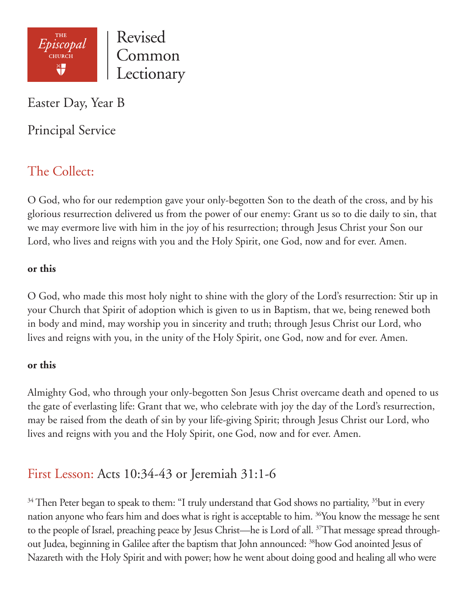

Revised Common Lectionary

Easter Day, Year B

Principal Service

# The Collect:

O God, who for our redemption gave your only-begotten Son to the death of the cross, and by his glorious resurrection delivered us from the power of our enemy: Grant us so to die daily to sin, that we may evermore live with him in the joy of his resurrection; through Jesus Christ your Son our Lord, who lives and reigns with you and the Holy Spirit, one God, now and for ever. Amen.

## **or this**

O God, who made this most holy night to shine with the glory of the Lord's resurrection: Stir up in your Church that Spirit of adoption which is given to us in Baptism, that we, being renewed both in body and mind, may worship you in sincerity and truth; through Jesus Christ our Lord, who lives and reigns with you, in the unity of the Holy Spirit, one God, now and for ever. Amen.

### **or this**

Almighty God, who through your only-begotten Son Jesus Christ overcame death and opened to us the gate of everlasting life: Grant that we, who celebrate with joy the day of the Lord's resurrection, may be raised from the death of sin by your life-giving Spirit; through Jesus Christ our Lord, who lives and reigns with you and the Holy Spirit, one God, now and for ever. Amen.

# First Lesson: Acts 10:34-43 or Jeremiah 31:1-6

<sup>34</sup> Then Peter began to speak to them: "I truly understand that God shows no partiality, <sup>35</sup>but in every nation anyone who fears him and does what is right is acceptable to him. <sup>36</sup>You know the message he sent to the people of Israel, preaching peace by Jesus Christ—he is Lord of all. <sup>37</sup>That message spread throughout Judea, beginning in Galilee after the baptism that John announced: 38how God anointed Jesus of Nazareth with the Holy Spirit and with power; how he went about doing good and healing all who were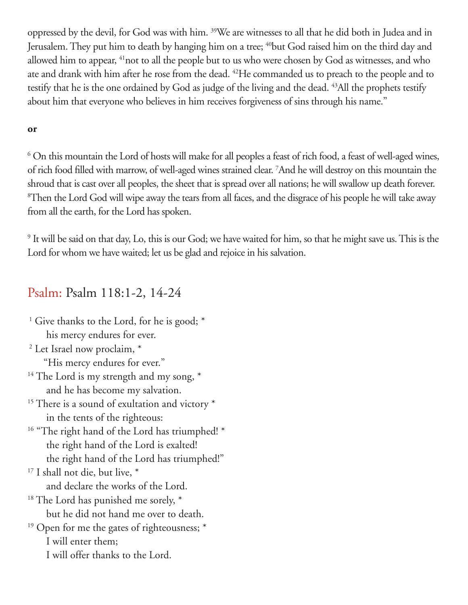oppressed by the devil, for God was with him. 39We are witnesses to all that he did both in Judea and in Jerusalem. They put him to death by hanging him on a tree; <sup>40</sup>but God raised him on the third day and allowed him to appear, 41not to all the people but to us who were chosen by God as witnesses, and who ate and drank with him after he rose from the dead. 42He commanded us to preach to the people and to testify that he is the one ordained by God as judge of the living and the dead. <sup>43</sup>All the prophets testify about him that everyone who believes in him receives forgiveness of sins through his name."

### **or**

6 On this mountain the Lord of hosts will make for all peoples a feast of rich food, a feast of well-aged wines, of rich food filled with marrow, of well-aged wines strained clear. 7 And he will destroy on this mountain the shroud that is cast over all peoples, the sheet that is spread over all nations; he will swallow up death forever. 8 Then the Lord God will wipe away the tears from all faces, and the disgrace of his people he will take away from all the earth, for the Lord has spoken.

9 It will be said on that day, Lo, this is our God; we have waited for him, so that he might save us. This is the Lord for whom we have waited; let us be glad and rejoice in his salvation.

## Psalm: Psalm 118:1-2, 14-24

| <sup>1</sup> Give thanks to the Lord, for he is good; *    |
|------------------------------------------------------------|
| his mercy endures for ever.                                |
| <sup>2</sup> Let Israel now proclaim, *                    |
| "His mercy endures for ever."                              |
| <sup>14</sup> The Lord is my strength and my song, *       |
| and he has become my salvation.                            |
| <sup>15</sup> There is a sound of exultation and victory * |
| in the tents of the righteous:                             |
| <sup>16</sup> "The right hand of the Lord has triumphed! * |
| the right hand of the Lord is exalted!                     |
| the right hand of the Lord has triumphed!"                 |
| <sup>17</sup> I shall not die, but live, $*$               |
| and declare the works of the Lord.                         |
| <sup>18</sup> The Lord has punished me sorely, *           |
| but he did not hand me over to death.                      |
| <sup>19</sup> Open for me the gates of righteousness; *    |
| I will enter them;                                         |
| I will offer thanks to the Lord.                           |
|                                                            |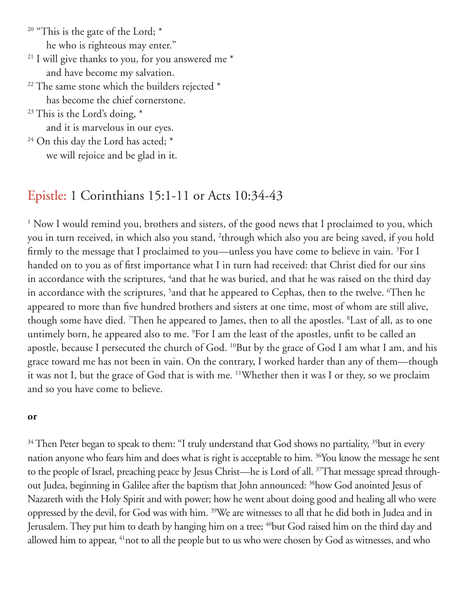$20$  "This is the gate of the Lord;  $*$ he who is righteous may enter."

- $21$  I will give thanks to you, for you answered me  $*$ and have become my salvation.
- $22$  The same stone which the builders rejected  $*$ has become the chief cornerstone.
- $23$  This is the Lord's doing,  $*$ and it is marvelous in our eyes.
- $24$  On this day the Lord has acted;  $*$ we will rejoice and be glad in it.

# Epistle: 1 Corinthians 15:1-11 or Acts 10:34-43

<sup>1</sup> Now I would remind you, brothers and sisters, of the good news that I proclaimed to you, which you in turn received, in which also you stand, 2 through which also you are being saved, if you hold firmly to the message that I proclaimed to you—unless you have come to believe in vain. <sup>3</sup>For I handed on to you as of first importance what I in turn had received: that Christ died for our sins in accordance with the scriptures, <sup>4</sup>and that he was buried, and that he was raised on the third day in accordance with the scriptures, <sup>5</sup>and that he appeared to Cephas, then to the twelve. <sup>6</sup>Then he appeared to more than five hundred brothers and sisters at one time, most of whom are still alive, though some have died. 7 Then he appeared to James, then to all the apostles. 8 Last of all, as to one untimely born, he appeared also to me. 9 For I am the least of the apostles, unfit to be called an apostle, because I persecuted the church of God. <sup>10</sup>But by the grace of God I am what I am, and his grace toward me has not been in vain. On the contrary, I worked harder than any of them—though it was not I, but the grace of God that is with me. 11Whether then it was I or they, so we proclaim and so you have come to believe.

#### **or**

<sup>34</sup> Then Peter began to speak to them: "I truly understand that God shows no partiality, <sup>35</sup>but in every nation anyone who fears him and does what is right is acceptable to him. <sup>36</sup>You know the message he sent to the people of Israel, preaching peace by Jesus Christ—he is Lord of all. <sup>37</sup>That message spread throughout Judea, beginning in Galilee after the baptism that John announced: 38how God anointed Jesus of Nazareth with the Holy Spirit and with power; how he went about doing good and healing all who were oppressed by the devil, for God was with him. 39We are witnesses to all that he did both in Judea and in Jerusalem. They put him to death by hanging him on a tree; <sup>40</sup>but God raised him on the third day and allowed him to appear, <sup>41</sup>not to all the people but to us who were chosen by God as witnesses, and who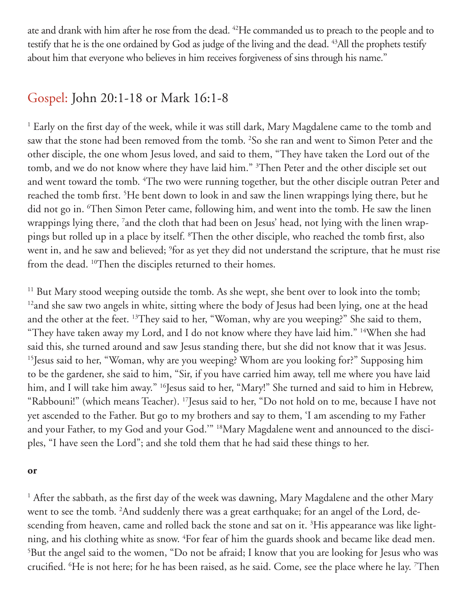ate and drank with him after he rose from the dead. 42He commanded us to preach to the people and to testify that he is the one ordained by God as judge of the living and the dead. <sup>43</sup>All the prophets testify about him that everyone who believes in him receives forgiveness of sins through his name."

## Gospel: John 20:1-18 or Mark 16:1-8

<sup>1</sup> Early on the first day of the week, while it was still dark, Mary Magdalene came to the tomb and saw that the stone had been removed from the tomb. 2 So she ran and went to Simon Peter and the other disciple, the one whom Jesus loved, and said to them, "They have taken the Lord out of the tomb, and we do not know where they have laid him." <sup>3</sup>Then Peter and the other disciple set out and went toward the tomb. 4 The two were running together, but the other disciple outran Peter and reached the tomb first. <sup>5</sup>He bent down to look in and saw the linen wrappings lying there, but he did not go in. 6 Then Simon Peter came, following him, and went into the tomb. He saw the linen wrappings lying there, 7 and the cloth that had been on Jesus' head, not lying with the linen wrappings but rolled up in a place by itself. 8 Then the other disciple, who reached the tomb first, also went in, and he saw and believed; <sup>9</sup>for as yet they did not understand the scripture, that he must rise from the dead. <sup>10</sup>Then the disciples returned to their homes.

<sup>11</sup> But Mary stood weeping outside the tomb. As she wept, she bent over to look into the tomb; <sup>12</sup> and she saw two angels in white, sitting where the body of Jesus had been lying, one at the head and the other at the feet. <sup>13</sup>They said to her, "Woman, why are you weeping?" She said to them, "They have taken away my Lord, and I do not know where they have laid him." 14When she had said this, she turned around and saw Jesus standing there, but she did not know that it was Jesus. 15Jesus said to her, "Woman, why are you weeping? Whom are you looking for?" Supposing him to be the gardener, she said to him, "Sir, if you have carried him away, tell me where you have laid him, and I will take him away." <sup>16</sup>Jesus said to her, "Mary!" She turned and said to him in Hebrew, "Rabbouni!" (which means Teacher). 17Jesus said to her, "Do not hold on to me, because I have not yet ascended to the Father. But go to my brothers and say to them, 'I am ascending to my Father and your Father, to my God and your God.'" 18Mary Magdalene went and announced to the disciples, "I have seen the Lord"; and she told them that he had said these things to her.

#### **or**

<sup>1</sup> After the sabbath, as the first day of the week was dawning, Mary Magdalene and the other Mary went to see the tomb. <sup>2</sup>And suddenly there was a great earthquake; for an angel of the Lord, descending from heaven, came and rolled back the stone and sat on it.  ${}^{3}\text{His}$  appearance was like lightning, and his clothing white as snow. <sup>4</sup>For fear of him the guards shook and became like dead men. 5 But the angel said to the women, "Do not be afraid; I know that you are looking for Jesus who was crucified. 6 He is not here; for he has been raised, as he said. Come, see the place where he lay. 7 Then